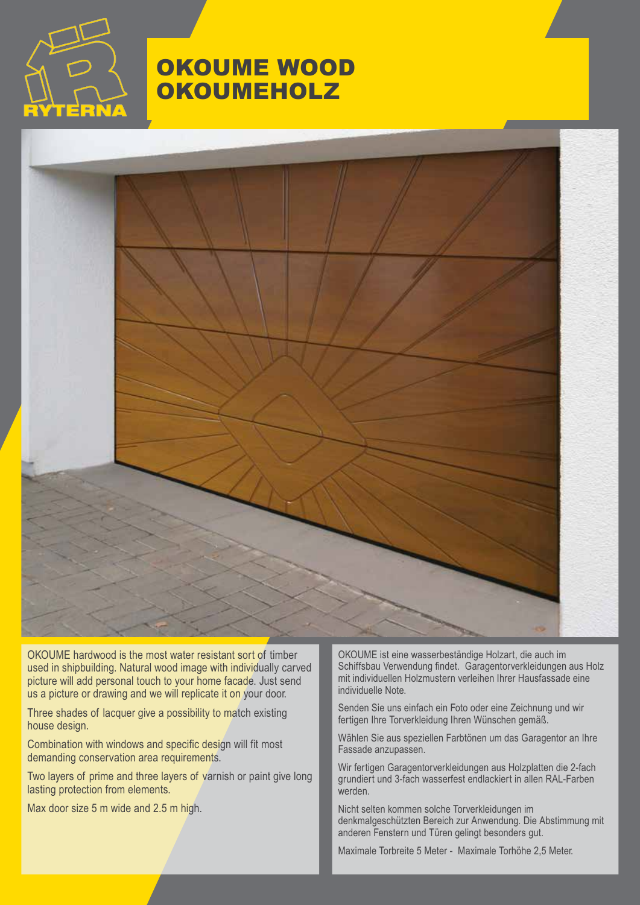

### OKOUME WOOD **OKOUMEHOLZ**



OKOUME hardwood is the most water resistant sort of timber used in shipbuilding. Natural wood image with individually carved picture will add personal touch to your home facade. Just send us a picture or drawing and we will replicate it on your door.

Three shades of lacquer give a possibility to match existing house design.

Combination with windows and specific design will fit most demanding conservation area requirements.

Two layers of prime and three layers of varnish or paint give long lasting protection from elements.

Max door size 5 m wide and 2.5 m high.

OKOUME ist eine wasserbeständige Holzart, die auch im Schiffsbau Verwendung findet. Garagentorverkleidungen aus Holz mit individuellen Holzmustern verleihen Ihrer Hausfassade eine individuelle Note.

Senden Sie uns einfach ein Foto oder eine Zeichnung und wir fertigen Ihre Torverkleidung Ihren Wünschen gemäß.

Wählen Sie aus speziellen Farbtönen um das Garagentor an Ihre Fassade anzupassen.

Wir fertigen Garagentorverkleidungen aus Holzplatten die 2-fach grundiert und 3-fach wasserfest endlackiert in allen RAL-Farben werden.

Nicht selten kommen solche Torverkleidungen im denkmalgeschützten Bereich zur Anwendung. Die Abstimmung mit anderen Fenstern und Türen gelingt besonders gut.

Maximale Torbreite 5 Meter - Maximale Torhöhe 2,5 Meter.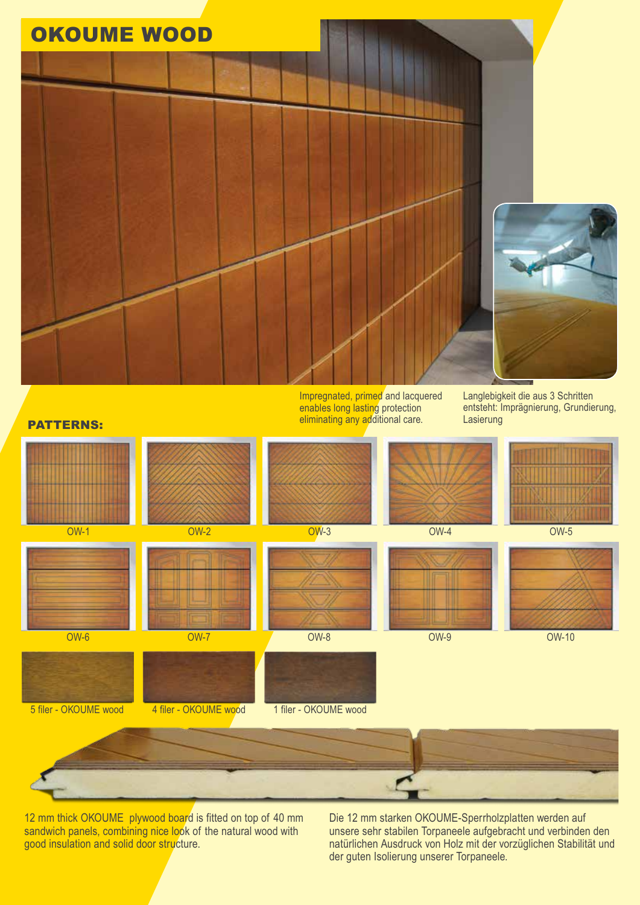

12 mm thick OKOUME plywood board is fitted on top of 40 mm sandwich panels, combining nice look of the natural wood with good insulation and solid door structure.

Die 12 mm starken OKOUME-Sperrholzplatten werden auf unsere sehr stabilen Torpaneele aufgebracht und verbinden den natürlichen Ausdruck von Holz mit der vorzüglichen Stabilität und der guten Isolierung unserer Torpaneele.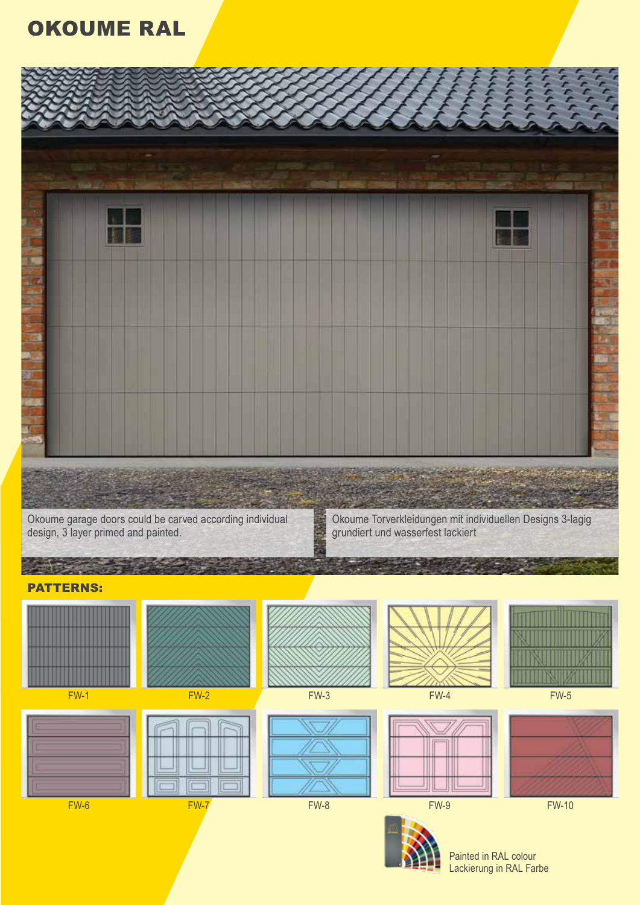## OKOUME RAL



Okoume garage doors could be carved according individual design, 3 layer primed and painted.

Okoume Torverkleidungen mit individuellen Designs 3-lagig grundiert und wasserfest lackiert

#### 上海の PATTERNS:











FW-6 FW-7 FW-7 FW-8 FW-8 FW-9 FW-9 FW-10









Painted in RAL colour Lackierung in RAL Farbe